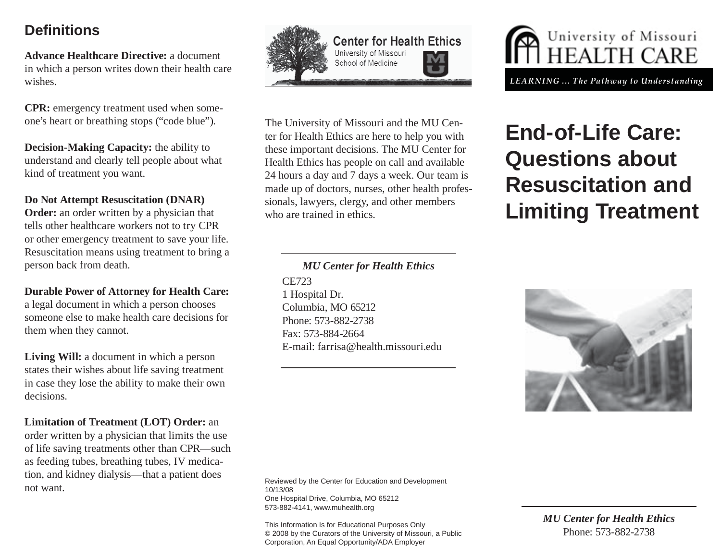## **Defi nitions**

**Advance Healthcare Directive:** a document in which a person writes down their health care wishes.

**CPR:** emergency treatment used when someone's heart or breathing stops ("code blue").

**Decision-Making Capacity:** the ability to understand and clearly tell people about what kind of treatment you want.

#### **Do Not Attempt Resuscitation (DNAR)**

**Order:** an order written by a physician that tells other healthcare workers not to try CPR or other emergency treatment to save your life. Resuscitation means using treatment to bring a person back from death.

#### **Durable Power of Attorney for Health Care:**

a legal document in which a person chooses someone else to make health care decisions for them when they cannot.

**Living Will:** a document in which a person states their wishes about life saving treatment in case they lose the ability to make their own decisions.

**Limitation of Treatment (LOT) Order:** an order written by a physician that limits the use of life saving treatments other than CPR—such as feeding tubes, breathing tubes, IV medication, and kidney dialysis—that a patient does not want.



**Center for Health Ethics** University of Missouri School of Medicine

The University of Missouri and the MU Center for Health Ethics are here to help you with these important decisions. The MU Center for Health Ethics has people on call and available 24 hours a day and 7 days a week. Our team is made up of doctors, nurses, other health professionals, lawyers, clergy, and other members who are trained in ethics.

#### *MU Center for Health Ethics* CE7231 Hospital Dr. Columbia, MO 65212 Phone: 573-882-2738Fax: 573-884-2664E-mail: farrisa@health.missouri.edu

Reviewed by the Center for Education and Development 10/13/08One Hospital Drive, Columbia, MO 65212 573-882-4141, www.muhealth.org

This Information Is for Educational Purposes Only © 2008 by the Curators of the University of Missouri, a Public Corporation, An Equal Opportunity/ADA Employer



# **End-of-Life Care: Questions about Resuscitation and Limiting Treatment**



*MU Center for Health Ethics* Phone: 573-882-2738